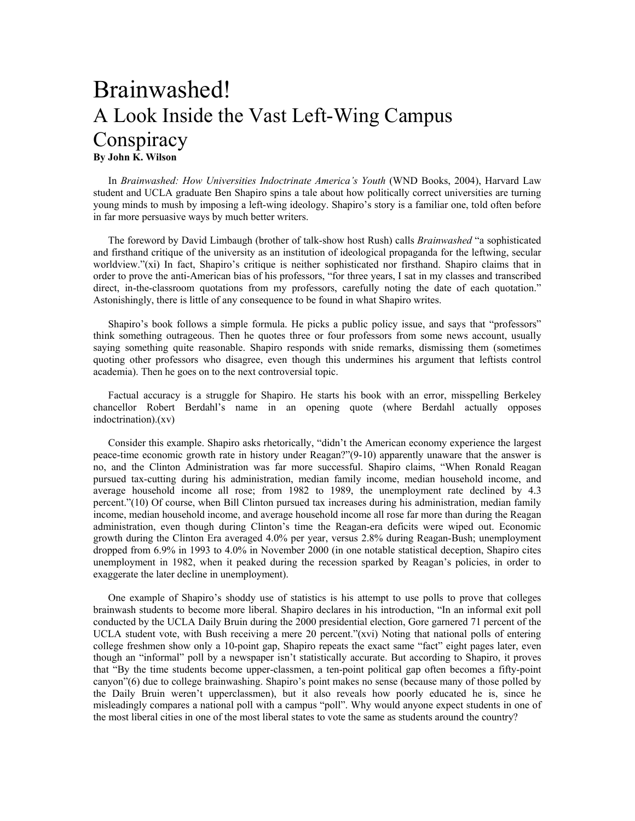## Brainwashed! A Look Inside the Vast Left-Wing Campus **Conspiracy By John K. Wilson**

In *Brainwashed: How Universities Indoctrinate America's Youth* (WND Books, 2004), Harvard Law student and UCLA graduate Ben Shapiro spins a tale about how politically correct universities are turning young minds to mush by imposing a left-wing ideology. Shapiro's story is a familiar one, told often before in far more persuasive ways by much better writers.

The foreword by David Limbaugh (brother of talk-show host Rush) calls *Brainwashed* "a sophisticated and firsthand critique of the university as an institution of ideological propaganda for the leftwing, secular worldview."(xi) In fact, Shapiro's critique is neither sophisticated nor firsthand. Shapiro claims that in order to prove the anti-American bias of his professors, "for three years, I sat in my classes and transcribed direct, in-the-classroom quotations from my professors, carefully noting the date of each quotation." Astonishingly, there is little of any consequence to be found in what Shapiro writes.

Shapiro's book follows a simple formula. He picks a public policy issue, and says that "professors" think something outrageous. Then he quotes three or four professors from some news account, usually saying something quite reasonable. Shapiro responds with snide remarks, dismissing them (sometimes quoting other professors who disagree, even though this undermines his argument that leftists control academia). Then he goes on to the next controversial topic.

Factual accuracy is a struggle for Shapiro. He starts his book with an error, misspelling Berkeley chancellor Robert Berdahl's name in an opening quote (where Berdahl actually opposes indoctrination).(xv)

Consider this example. Shapiro asks rhetorically, "didn't the American economy experience the largest peace-time economic growth rate in history under Reagan?"(9-10) apparently unaware that the answer is no, and the Clinton Administration was far more successful. Shapiro claims, "When Ronald Reagan pursued tax-cutting during his administration, median family income, median household income, and average household income all rose; from 1982 to 1989, the unemployment rate declined by 4.3 percent."(10) Of course, when Bill Clinton pursued tax increases during his administration, median family income, median household income, and average household income all rose far more than during the Reagan administration, even though during Clinton's time the Reagan-era deficits were wiped out. Economic growth during the Clinton Era averaged 4.0% per year, versus 2.8% during Reagan-Bush; unemployment dropped from 6.9% in 1993 to 4.0% in November 2000 (in one notable statistical deception, Shapiro cites unemployment in 1982, when it peaked during the recession sparked by Reagan's policies, in order to exaggerate the later decline in unemployment).

One example of Shapiro's shoddy use of statistics is his attempt to use polls to prove that colleges brainwash students to become more liberal. Shapiro declares in his introduction, "In an informal exit poll conducted by the UCLA Daily Bruin during the 2000 presidential election, Gore garnered 71 percent of the UCLA student vote, with Bush receiving a mere 20 percent."(xvi) Noting that national polls of entering college freshmen show only a 10-point gap, Shapiro repeats the exact same "fact" eight pages later, even though an "informal" poll by a newspaper isn't statistically accurate. But according to Shapiro, it proves that "By the time students become upper-classmen, a ten-point political gap often becomes a fifty-point canyon"(6) due to college brainwashing. Shapiro's point makes no sense (because many of those polled by the Daily Bruin weren't upperclassmen), but it also reveals how poorly educated he is, since he misleadingly compares a national poll with a campus "poll". Why would anyone expect students in one of the most liberal cities in one of the most liberal states to vote the same as students around the country?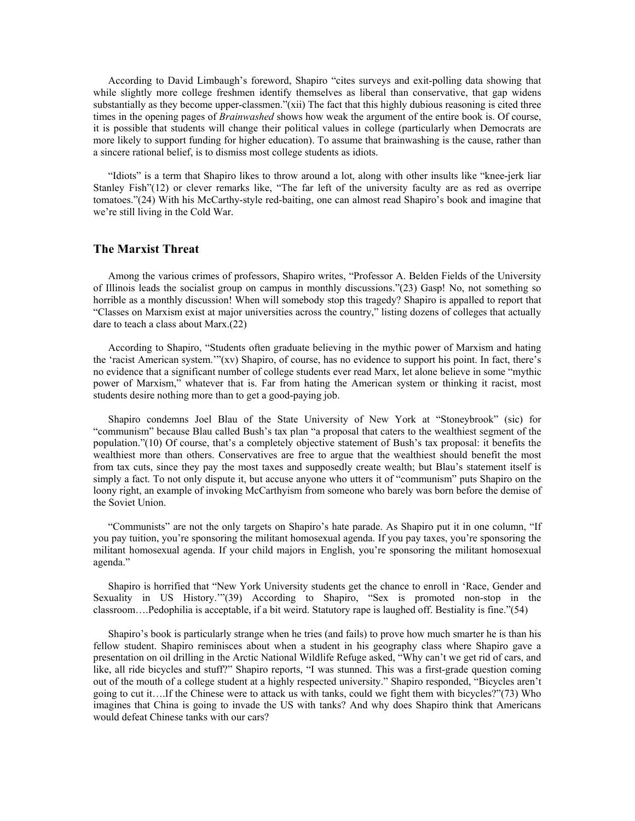According to David Limbaugh's foreword, Shapiro "cites surveys and exit-polling data showing that while slightly more college freshmen identify themselves as liberal than conservative, that gap widens substantially as they become upper-classmen."(xii) The fact that this highly dubious reasoning is cited three times in the opening pages of *Brainwashed* shows how weak the argument of the entire book is. Of course, it is possible that students will change their political values in college (particularly when Democrats are more likely to support funding for higher education). To assume that brainwashing is the cause, rather than a sincere rational belief, is to dismiss most college students as idiots.

"Idiots" is a term that Shapiro likes to throw around a lot, along with other insults like "knee-jerk liar Stanley Fish"(12) or clever remarks like, "The far left of the university faculty are as red as overripe tomatoes."(24) With his McCarthy-style red-baiting, one can almost read Shapiro's book and imagine that we're still living in the Cold War.

## **The Marxist Threat**

Among the various crimes of professors, Shapiro writes, "Professor A. Belden Fields of the University of Illinois leads the socialist group on campus in monthly discussions."(23) Gasp! No, not something so horrible as a monthly discussion! When will somebody stop this tragedy? Shapiro is appalled to report that "Classes on Marxism exist at major universities across the country," listing dozens of colleges that actually dare to teach a class about Marx.(22)

According to Shapiro, "Students often graduate believing in the mythic power of Marxism and hating the 'racist American system.'"(xv) Shapiro, of course, has no evidence to support his point. In fact, there's no evidence that a significant number of college students ever read Marx, let alone believe in some "mythic power of Marxism," whatever that is. Far from hating the American system or thinking it racist, most students desire nothing more than to get a good-paying job.

Shapiro condemns Joel Blau of the State University of New York at "Stoneybrook" (sic) for "communism" because Blau called Bush's tax plan "a proposal that caters to the wealthiest segment of the population."(10) Of course, that's a completely objective statement of Bush's tax proposal: it benefits the wealthiest more than others. Conservatives are free to argue that the wealthiest should benefit the most from tax cuts, since they pay the most taxes and supposedly create wealth; but Blau's statement itself is simply a fact. To not only dispute it, but accuse anyone who utters it of "communism" puts Shapiro on the loony right, an example of invoking McCarthyism from someone who barely was born before the demise of the Soviet Union.

"Communists" are not the only targets on Shapiro's hate parade. As Shapiro put it in one column, "If you pay tuition, you're sponsoring the militant homosexual agenda. If you pay taxes, you're sponsoring the militant homosexual agenda. If your child majors in English, you're sponsoring the militant homosexual agenda."

Shapiro is horrified that "New York University students get the chance to enroll in 'Race, Gender and Sexuality in US History.'"(39) According to Shapiro, "Sex is promoted non-stop in the classroom….Pedophilia is acceptable, if a bit weird. Statutory rape is laughed off. Bestiality is fine."(54)

Shapiro's book is particularly strange when he tries (and fails) to prove how much smarter he is than his fellow student. Shapiro reminisces about when a student in his geography class where Shapiro gave a presentation on oil drilling in the Arctic National Wildlife Refuge asked, "Why can't we get rid of cars, and like, all ride bicycles and stuff?" Shapiro reports, "I was stunned. This was a first-grade question coming out of the mouth of a college student at a highly respected university." Shapiro responded, "Bicycles aren't going to cut it….If the Chinese were to attack us with tanks, could we fight them with bicycles?"(73) Who imagines that China is going to invade the US with tanks? And why does Shapiro think that Americans would defeat Chinese tanks with our cars?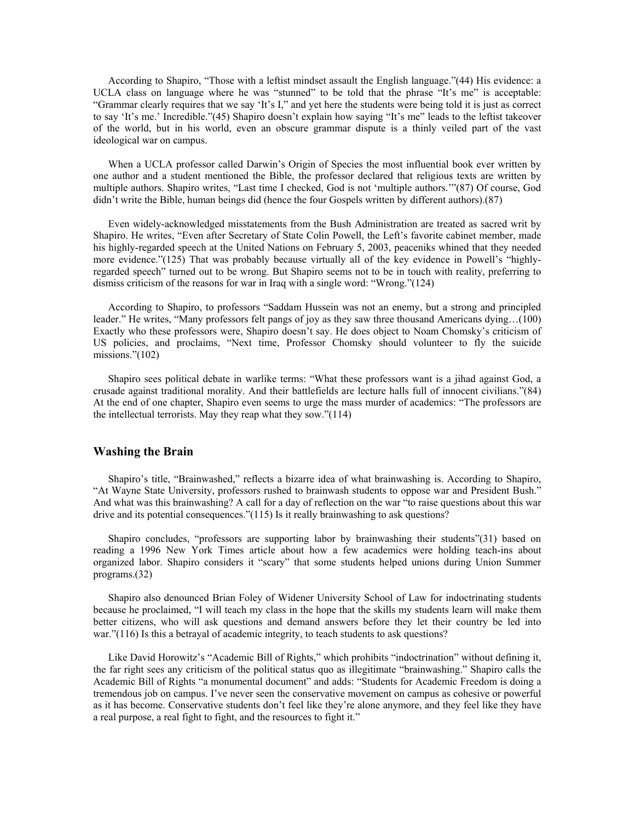According to Shapiro, "Those with a leftist mindset assault the English language."(44) His evidence: a UCLA class on language where he was "stunned" to be told that the phrase "It's me" is acceptable: "Grammar clearly requires that we say 'It's I," and yet here the students were being told it is just as correct to say 'It's me.' Incredible."(45) Shapiro doesn't explain how saying "It's me" leads to the leftist takeover of the world, but in his world, even an obscure grammar dispute is a thinly veiled part of the vast ideological war on campus.

When a UCLA professor called Darwin's Origin of Species the most influential book ever written by one author and a student mentioned the Bible, the professor declared that religious texts are written by multiple authors. Shapiro writes, "Last time I checked, God is not 'multiple authors.'"(87) Of course, God didn't write the Bible, human beings did (hence the four Gospels written by different authors).(87)

Even widely-acknowledged misstatements from the Bush Administration are treated as sacred writ by Shapiro. He writes, "Even after Secretary of State Colin Powell, the Left's favorite cabinet member, made his highly-regarded speech at the United Nations on February 5, 2003, peaceniks whined that they needed more evidence."(125) That was probably because virtually all of the key evidence in Powell's "highlyregarded speech" turned out to be wrong. But Shapiro seems not to be in touch with reality, preferring to dismiss criticism of the reasons for war in Iraq with a single word: "Wrong."(124)

According to Shapiro, to professors "Saddam Hussein was not an enemy, but a strong and principled leader." He writes, "Many professors felt pangs of joy as they saw three thousand Americans dying…(100) Exactly who these professors were, Shapiro doesn't say. He does object to Noam Chomsky's criticism of US policies, and proclaims, "Next time, Professor Chomsky should volunteer to fly the suicide missions."(102)

Shapiro sees political debate in warlike terms: "What these professors want is a jihad against God, a crusade against traditional morality. And their battlefields are lecture halls full of innocent civilians."(84) At the end of one chapter, Shapiro even seems to urge the mass murder of academics: "The professors are the intellectual terrorists. May they reap what they sow."(114)

## **Washing the Brain**

Shapiro's title, "Brainwashed," reflects a bizarre idea of what brainwashing is. According to Shapiro, "At Wayne State University, professors rushed to brainwash students to oppose war and President Bush." And what was this brainwashing? A call for a day of reflection on the war "to raise questions about this war drive and its potential consequences."(115) Is it really brainwashing to ask questions?

Shapiro concludes, "professors are supporting labor by brainwashing their students"(31) based on reading a 1996 New York Times article about how a few academics were holding teach-ins about organized labor. Shapiro considers it "scary" that some students helped unions during Union Summer programs.(32)

Shapiro also denounced Brian Foley of Widener University School of Law for indoctrinating students because he proclaimed, "I will teach my class in the hope that the skills my students learn will make them better citizens, who will ask questions and demand answers before they let their country be led into war."(116) Is this a betrayal of academic integrity, to teach students to ask questions?

Like David Horowitz's "Academic Bill of Rights," which prohibits "indoctrination" without defining it, the far right sees any criticism of the political status quo as illegitimate "brainwashing." Shapiro calls the Academic Bill of Rights "a monumental document" and adds: "Students for Academic Freedom is doing a tremendous job on campus. I've never seen the conservative movement on campus as cohesive or powerful as it has become. Conservative students don't feel like they're alone anymore, and they feel like they have a real purpose, a real fight to fight, and the resources to fight it."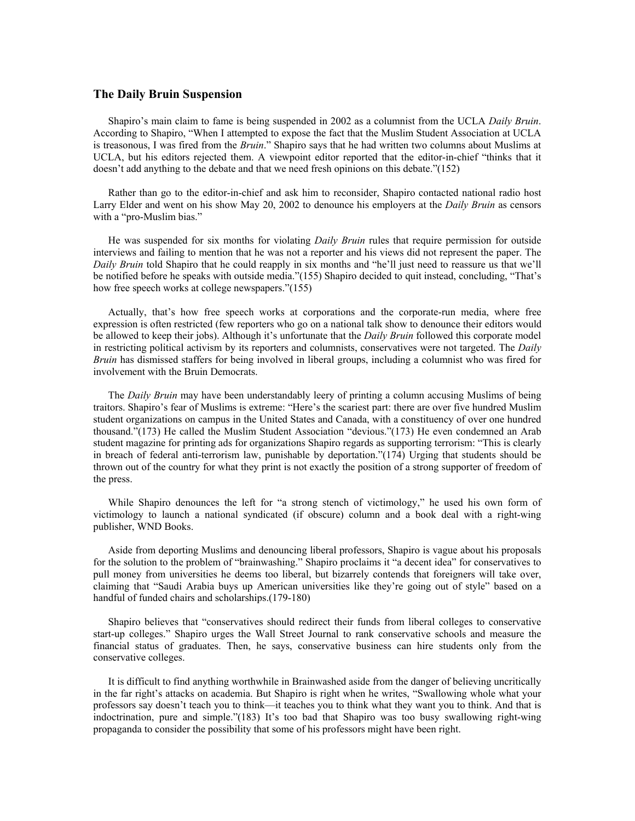## **The Daily Bruin Suspension**

Shapiro's main claim to fame is being suspended in 2002 as a columnist from the UCLA *Daily Bruin*. According to Shapiro, "When I attempted to expose the fact that the Muslim Student Association at UCLA is treasonous, I was fired from the *Bruin*." Shapiro says that he had written two columns about Muslims at UCLA, but his editors rejected them. A viewpoint editor reported that the editor-in-chief "thinks that it doesn't add anything to the debate and that we need fresh opinions on this debate."(152)

Rather than go to the editor-in-chief and ask him to reconsider, Shapiro contacted national radio host Larry Elder and went on his show May 20, 2002 to denounce his employers at the *Daily Bruin* as censors with a "pro-Muslim bias."

He was suspended for six months for violating *Daily Bruin* rules that require permission for outside interviews and failing to mention that he was not a reporter and his views did not represent the paper. The *Daily Bruin* told Shapiro that he could reapply in six months and "he'll just need to reassure us that we'll be notified before he speaks with outside media."(155) Shapiro decided to quit instead, concluding, "That's how free speech works at college newspapers."(155)

Actually, that's how free speech works at corporations and the corporate-run media, where free expression is often restricted (few reporters who go on a national talk show to denounce their editors would be allowed to keep their jobs). Although it's unfortunate that the *Daily Bruin* followed this corporate model in restricting political activism by its reporters and columnists, conservatives were not targeted. The *Daily Bruin* has dismissed staffers for being involved in liberal groups, including a columnist who was fired for involvement with the Bruin Democrats.

The *Daily Bruin* may have been understandably leery of printing a column accusing Muslims of being traitors. Shapiro's fear of Muslims is extreme: "Here's the scariest part: there are over five hundred Muslim student organizations on campus in the United States and Canada, with a constituency of over one hundred thousand."(173) He called the Muslim Student Association "devious."(173) He even condemned an Arab student magazine for printing ads for organizations Shapiro regards as supporting terrorism: "This is clearly in breach of federal anti-terrorism law, punishable by deportation."(174) Urging that students should be thrown out of the country for what they print is not exactly the position of a strong supporter of freedom of the press.

While Shapiro denounces the left for "a strong stench of victimology," he used his own form of victimology to launch a national syndicated (if obscure) column and a book deal with a right-wing publisher, WND Books.

Aside from deporting Muslims and denouncing liberal professors, Shapiro is vague about his proposals for the solution to the problem of "brainwashing." Shapiro proclaims it "a decent idea" for conservatives to pull money from universities he deems too liberal, but bizarrely contends that foreigners will take over, claiming that "Saudi Arabia buys up American universities like they're going out of style" based on a handful of funded chairs and scholarships.(179-180)

Shapiro believes that "conservatives should redirect their funds from liberal colleges to conservative start-up colleges." Shapiro urges the Wall Street Journal to rank conservative schools and measure the financial status of graduates. Then, he says, conservative business can hire students only from the conservative colleges.

It is difficult to find anything worthwhile in Brainwashed aside from the danger of believing uncritically in the far right's attacks on academia. But Shapiro is right when he writes, "Swallowing whole what your professors say doesn't teach you to think—it teaches you to think what they want you to think. And that is indoctrination, pure and simple."(183) It's too bad that Shapiro was too busy swallowing right-wing propaganda to consider the possibility that some of his professors might have been right.